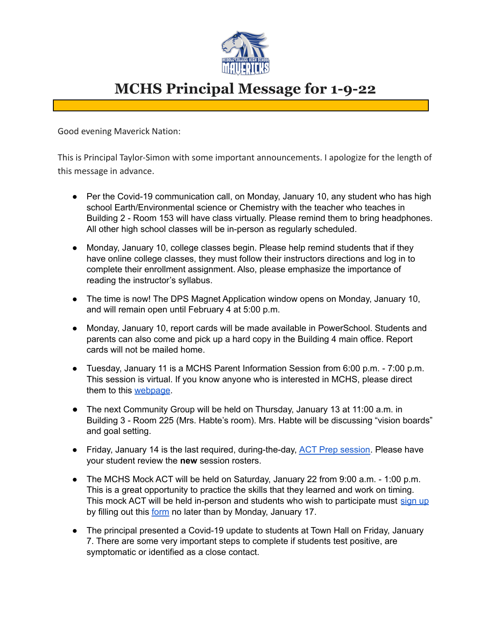

## **MCHS Principal Message for 1-9-22**

Good evening Maverick Nation:

This is Principal Taylor-Simon with some important announcements. I apologize for the length of this message in advance.

- Per the Covid-19 communication call, on Monday, January 10, any student who has high school Earth/Environmental science or Chemistry with the teacher who teaches in Building 2 - Room 153 will have class virtually. Please remind them to bring headphones. All other high school classes will be in-person as regularly scheduled.
- Monday, January 10, college classes begin. Please help remind students that if they have online college classes, they must follow their instructors directions and log in to complete their enrollment assignment. Also, please emphasize the importance of reading the instructor's syllabus.
- The time is now! The DPS Magnet Application window opens on Monday, January 10, and will remain open until February 4 at 5:00 p.m.
- Monday, January 10, report cards will be made available in PowerSchool. Students and parents can also come and pick up a hard copy in the Building 4 main office. Report cards will not be mailed home.
- Tuesday, January 11 is a MCHS Parent Information Session from 6:00 p.m. 7:00 p.m. This session is virtual. If you know anyone who is interested in MCHS, please direct them to this [webpage](https://www.dpsnc.net/site/default.aspx?PageType=3&DomainID=53&ModuleInstanceID=2903&ViewID=6446EE88-D30C-497E-9316-3F8874B3E108&RenderLoc=0&FlexDataID=55789&PageID=99).
- The next Community Group will be held on Thursday, January 13 at 11:00 a.m. in Building 3 - Room 225 (Mrs. Habte's room). Mrs. Habte will be discussing "vision boards" and goal setting.
- Friday, January 14 is the last required, during-the-day, ACT Prep [session.](https://docs.google.com/document/d/1ojQzJkokVwLOMmmbK70R3r08byUcantP9z8D8pij168/edit?usp=sharing) Please have your student review the **new** session rosters.
- The MCHS Mock ACT will be held on Saturday, January 22 from 9:00 a.m. 1:00 p.m. This is a great opportunity to practice the skills that they learned and work on timing. This mock ACT will be held in-person and students who wish to participate must [sign](https://docs.google.com/forms/d/e/1FAIpQLSdk0HUgezvTvnIiWJj6PTh_EMsCzjiM11OI61Mj3E0Ti5OxRA/viewform) up by filling out this [form](https://docs.google.com/forms/d/e/1FAIpQLSdk0HUgezvTvnIiWJj6PTh_EMsCzjiM11OI61Mj3E0Ti5OxRA/viewform) no later than by Monday, January 17.
- The principal presented a Covid-19 update to students at Town Hall on Friday, January 7. There are some very important steps to complete if students test positive, are symptomatic or identified as a close contact.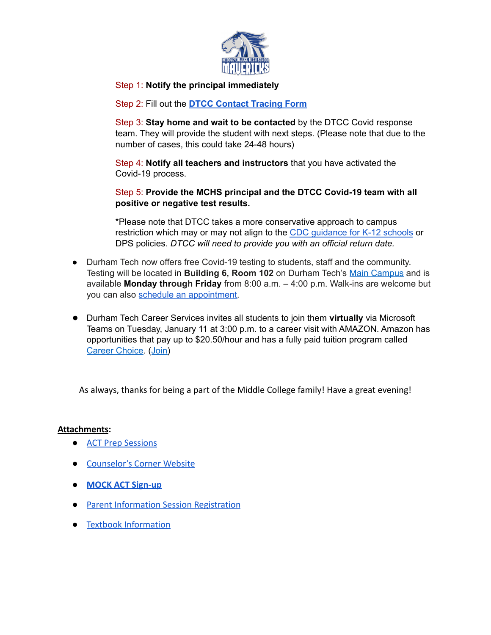

## Step 1: **Notify the principal immediately**

Step 2: Fill out the **DTCC [Contact](https://forms.office.com/Pages/ResponsePage.aspx?id=VZNUEsbgN0KzqdNHfaRTeOeouWhRzClPqTdHD7UqgxNURTRWVTFFNFJBTVJGRUxKSTVCNERNM1FHQy4u) Tracing Form**

Step 3: **Stay home and wait to be contacted** by the DTCC Covid response team. They will provide the student with next steps. (Please note that due to the number of cases, this could take 24-48 hours)

Step 4: **Notify all teachers and instructors** that you have activated the Covid-19 process.

Step 5: **Provide the MCHS principal and the DTCC Covid-19 team with all positive or negative test results.**

\*Please note that DTCC takes a more conservative approach to campus restriction which may or may not align to the CDC [guidance](https://covid19.ncdhhs.gov/media/164/open) for K-12 schools or DPS policies. *DTCC will need to provide you with an official return date.*

- Durham Tech now offers free Covid-19 testing to students, staff and the community. Testing will be located in **Building 6, Room 102** on Durham Tech's Main [Campus](https://www.durhamtech.edu/about-durham-tech/campus-locations/campuses-and-locations/main-campus) and is available **Monday through Friday** from 8:00 a.m. – 4:00 p.m. Walk-ins are welcome but you can also schedule an [appointment.](https://book.curative.com/sites/34319)
- Durham Tech Career Services invites all students to join them **virtually** via Microsoft Teams on Tuesday, January 11 at 3:00 p.m. to a career visit with AMAZON. Amazon has opportunities that pay up to \$20.50/hour and has a fully paid tuition program called Career [Choice.](https://www.amazoncareerchoice.com/home) ([Join\)](https://nam02.safelinks.protection.outlook.com/?url=https%3A%2F%2Fbit.ly%2Fdtamazon1&data=04%7C01%7Cwalkerc%40durhamtech.edu%7C065ff5ce08084c52f02508d9d1ffcfb5%7C12549355e0c64237b3a9d3477da45378%7C0%7C0%7C637771718903465077%7CUnknown%7CTWFpbGZsb3d8eyJWIjoiMC4wLjAwMDAiLCJQIjoiV2luMzIiLCJBTiI6Ik1haWwiLCJXVCI6Mn0%3D%7C3000&sdata=%2ByZvVasdz81ULFrtkurjv8lTlR3BUib%2FhPoBAAEa95M%3D&reserved=0)

As always, thanks for being a part of the Middle College family! Have a great evening!

## **Attachments:**

- [ACT Prep Sessions](https://docs.google.com/document/d/1ojQzJkokVwLOMmmbK70R3r08byUcantP9z8D8pij168/edit?usp=sharing)
- [Counselor's Corner Website](https://www.dpsnc.net/domain/2063)
- **● [MOCK ACT Sign-up](https://docs.google.com/forms/d/e/1FAIpQLSdk0HUgezvTvnIiWJj6PTh_EMsCzjiM11OI61Mj3E0Ti5OxRA/viewform)**
- **[Parent Information Session Registration](https://docs.google.com/forms/d/e/1FAIpQLScvybcLRCuh50eW_oAyD095QDej6LZocsx3GqqIbxZMp_9StA/viewform)**
- [Textbook Information](https://docs.google.com/document/d/12_ngwfa0SOP-UCD26e044M2snbQDjukdnxRnMC_3pb0/edit?usp=sharing)